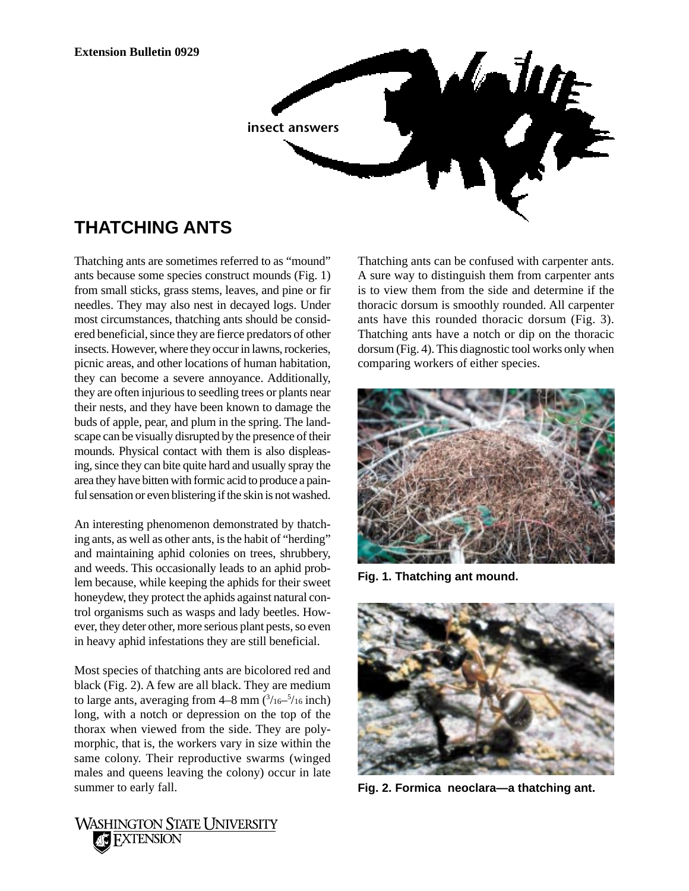*<u>Salute</u>* **insect answers**

## **THATCHING ANTS**

Thatching ants are sometimes referred to as "mound" ants because some species construct mounds (Fig. 1) from small sticks, grass stems, leaves, and pine or fir needles. They may also nest in decayed logs. Under most circumstances, thatching ants should be considered beneficial, since they are fierce predators of other insects. However, where they occur in lawns, rockeries, picnic areas, and other locations of human habitation, they can become a severe annoyance. Additionally, they are often injurious to seedling trees or plants near their nests, and they have been known to damage the buds of apple, pear, and plum in the spring. The landscape can be visually disrupted by the presence of their mounds. Physical contact with them is also displeasing, since they can bite quite hard and usually spray the area they have bitten with formic acid to produce a painful sensation or even blistering if the skin is not washed.

An interesting phenomenon demonstrated by thatching ants, as well as other ants, is the habit of "herding" and maintaining aphid colonies on trees, shrubbery, and weeds. This occasionally leads to an aphid problem because, while keeping the aphids for their sweet honeydew, they protect the aphids against natural control organisms such as wasps and lady beetles. However, they deter other, more serious plant pests, so even in heavy aphid infestations they are still beneficial.

Most species of thatching ants are bicolored red and black (Fig. 2). A few are all black. They are medium to large ants, averaging from  $4-8$  mm  $\left(\frac{3}{16}-\frac{5}{16}\right)$  inch) long, with a notch or depression on the top of the thorax when viewed from the side. They are polymorphic, that is, the workers vary in size within the same colony. Their reproductive swarms (winged males and queens leaving the colony) occur in late summer to early fall.

Thatching ants can be confused with carpenter ants. A sure way to distinguish them from carpenter ants is to view them from the side and determine if the thoracic dorsum is smoothly rounded. All carpenter ants have this rounded thoracic dorsum (Fig. 3). Thatching ants have a notch or dip on the thoracic dorsum (Fig. 4). This diagnostic tool works only when comparing workers of either species.



**Fig. 1. Thatching ant mound.**



**Fig. 2. Formica neoclara—a thatching ant.**

WASHINGTON STATE UNIVERSITY **AC EXTENSION**